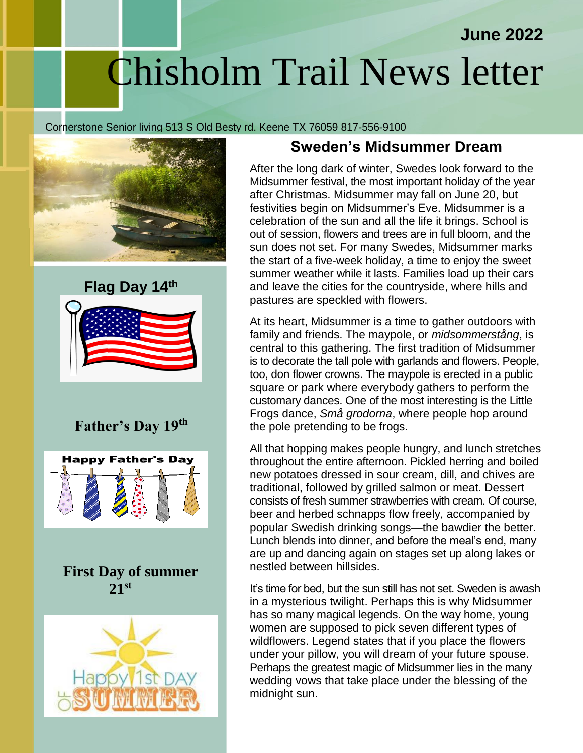# Chisholm Trail News letter

#### Cornerstone Senior living 513 S Old Besty rd. Keene TX 76059 817-556-9100





# **Father's Day 19th**



 **First Day of summer 21st**



### **Sweden's Midsummer Dream**

**June 2022**

After the long dark of winter, Swedes look forward to the Midsummer festival, the most important holiday of the year after Christmas. Midsummer may fall on June 20, but festivities begin on Midsummer's Eve. Midsummer is a celebration of the sun and all the life it brings. School is out of session, flowers and trees are in full bloom, and the sun does not set. For many Swedes, Midsummer marks the start of a five-week holiday, a time to enjoy the sweet summer weather while it lasts. Families load up their cars and leave the cities for the countryside, where hills and pastures are speckled with flowers.

At its heart, Midsummer is a time to gather outdoors with family and friends. The maypole, or *midsommerstång*, is central to this gathering. The first tradition of Midsummer is to decorate the tall pole with garlands and flowers. People, too, don flower crowns. The maypole is erected in a public square or park where everybody gathers to perform the customary dances. One of the most interesting is the Little Frogs dance, *Små grodorna*, where people hop around the pole pretending to be frogs.

All that hopping makes people hungry, and lunch stretches throughout the entire afternoon. Pickled herring and boiled new potatoes dressed in sour cream, dill, and chives are traditional, followed by grilled salmon or meat. Dessert consists of fresh summer strawberries with cream. Of course, beer and herbed schnapps flow freely, accompanied by popular Swedish drinking songs—the bawdier the better. Lunch blends into dinner, and before the meal's end, many are up and dancing again on stages set up along lakes or nestled between hillsides.

It's time for bed, but the sun still has not set. Sweden is awash in a mysterious twilight. Perhaps this is why Midsummer has so many magical legends. On the way home, young women are supposed to pick seven different types of wildflowers. Legend states that if you place the flowers under your pillow, you will dream of your future spouse. Perhaps the greatest magic of Midsummer lies in the many wedding vows that take place under the blessing of the midnight sun.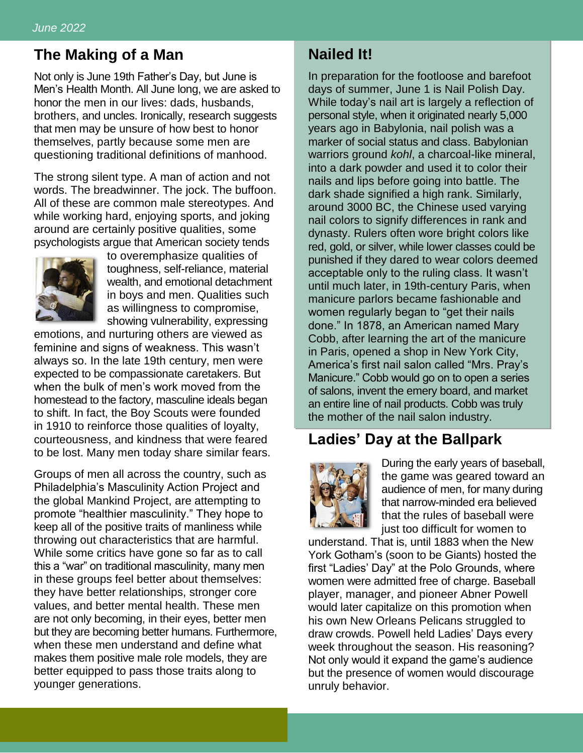#### **The Making of a Man**

Not only is June 19th Father's Day, but June is Men's Health Month. All June long, we are asked to honor the men in our lives: dads, husbands, brothers, and uncles. Ironically, research suggests that men may be unsure of how best to honor themselves, partly because some men are questioning traditional definitions of manhood.

The strong silent type. A man of action and not words. The breadwinner. The jock. The buffoon. All of these are common male stereotypes. And while working hard, enjoying sports, and joking around are certainly positive qualities, some psychologists argue that American society tends



to overemphasize qualities of toughness, self-reliance, material wealth, and emotional detachment in boys and men. Qualities such as willingness to compromise, showing vulnerability, expressing

emotions, and nurturing others are viewed as feminine and signs of weakness. This wasn't always so. In the late 19th century, men were expected to be compassionate caretakers. But when the bulk of men's work moved from the homestead to the factory, masculine ideals began to shift. In fact, the Boy Scouts were founded in 1910 to reinforce those qualities of loyalty, courteousness, and kindness that were feared to be lost. Many men today share similar fears.

Groups of men all across the country, such as Philadelphia's Masculinity Action Project and the global Mankind Project, are attempting to promote "healthier masculinity." They hope to keep all of the positive traits of manliness while throwing out characteristics that are harmful. While some critics have gone so far as to call this a "war" on traditional masculinity, many men in these groups feel better about themselves: they have better relationships, stronger core values, and better mental health. These men are not only becoming, in their eyes, better men but they are becoming better humans. Furthermore, when these men understand and define what makes them positive male role models, they are better equipped to pass those traits along to younger generations.

### **Nailed It!**

In preparation for the footloose and barefoot days of summer, June 1 is Nail Polish Day. While today's nail art is largely a reflection of personal style, when it originated nearly 5,000 years ago in Babylonia, nail polish was a marker of social status and class. Babylonian warriors ground *kohl*, a charcoal-like mineral, into a dark powder and used it to color their nails and lips before going into battle. The dark shade signified a high rank. Similarly, around 3000 BC, the Chinese used varying nail colors to signify differences in rank and dynasty. Rulers often wore bright colors like red, gold, or silver, while lower classes could be punished if they dared to wear colors deemed acceptable only to the ruling class. It wasn't until much later, in 19th-century Paris, when manicure parlors became fashionable and women regularly began to "get their nails done." In 1878, an American named Mary Cobb, after learning the art of the manicure in Paris, opened a shop in New York City, America's first nail salon called "Mrs. Pray's Manicure." Cobb would go on to open a series of salons, invent the emery board, and market an entire line of nail products. Cobb was truly the mother of the nail salon industry.

#### **Ladies' Day at the Ballpark**



During the early years of baseball, the game was geared toward an audience of men, for many during that narrow-minded era believed that the rules of baseball were just too difficult for women to

understand. That is, until 1883 when the New York Gotham's (soon to be Giants) hosted the first "Ladies' Day" at the Polo Grounds, where women were admitted free of charge. Baseball player, manager, and pioneer Abner Powell would later capitalize on this promotion when his own New Orleans Pelicans struggled to draw crowds. Powell held Ladies' Days every week throughout the season. His reasoning? Not only would it expand the game's audience but the presence of women would discourage unruly behavior.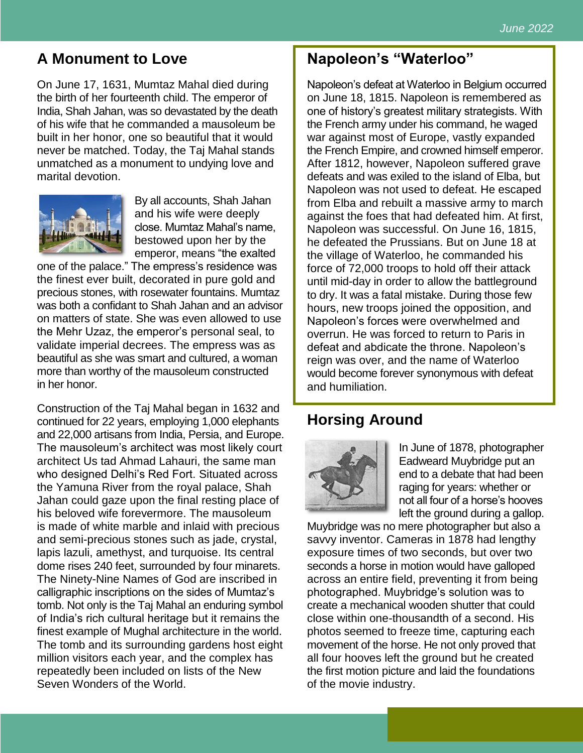# **A Monument to Love**

On June 17, 1631, Mumtaz Mahal died during the birth of her fourteenth child. The emperor of India, Shah Jahan, was so devastated by the death of his wife that he commanded a mausoleum be built in her honor, one so beautiful that it would never be matched. Today, the Taj Mahal stands unmatched as a monument to undying love and marital devotion.



By all accounts, Shah Jahan and his wife were deeply close. Mumtaz Mahal's name, bestowed upon her by the emperor, means "the exalted

one of the palace." The empress's residence was the finest ever built, decorated in pure gold and precious stones, with rosewater fountains. Mumtaz was both a confidant to Shah Jahan and an advisor on matters of state. She was even allowed to use the Mehr Uzaz, the emperor's personal seal, to validate imperial decrees. The empress was as beautiful as she was smart and cultured, a woman more than worthy of the mausoleum constructed in her honor.

Construction of the Taj Mahal began in 1632 and continued for 22 years, employing 1,000 elephants and 22,000 artisans from India, Persia, and Europe. The mausoleum's architect was most likely court architect Us tad Ahmad Lahauri, the same man who designed Delhi's Red Fort. Situated across the Yamuna River from the royal palace, Shah Jahan could gaze upon the final resting place of his beloved wife forevermore. The mausoleum is made of white marble and inlaid with precious and semi-precious stones such as jade, crystal, lapis lazuli, amethyst, and turquoise. Its central dome rises 240 feet, surrounded by four minarets. The Ninety-Nine Names of God are inscribed in calligraphic inscriptions on the sides of Mumtaz's tomb. Not only is the Taj Mahal an enduring symbol of India's rich cultural heritage but it remains the finest example of Mughal architecture in the world. The tomb and its surrounding gardens host eight million visitors each year, and the complex has repeatedly been included on lists of the New Seven Wonders of the World.

## **Napoleon's "Waterloo"**

Napoleon's defeat at Waterloo in Belgium occurred on June 18, 1815. Napoleon is remembered as one of history's greatest military strategists. With the French army under his command, he waged war against most of Europe, vastly expanded the French Empire, and crowned himself emperor. After 1812, however, Napoleon suffered grave defeats and was exiled to the island of Elba, but Napoleon was not used to defeat. He escaped from Elba and rebuilt a massive army to march against the foes that had defeated him. At first, Napoleon was successful. On June 16, 1815, he defeated the Prussians. But on June 18 at the village of Waterloo, he commanded his force of 72,000 troops to hold off their attack until mid-day in order to allow the battleground to dry. It was a fatal mistake. During those few hours, new troops joined the opposition, and Napoleon's forces were overwhelmed and overrun. He was forced to return to Paris in defeat and abdicate the throne. Napoleon's reign was over, and the name of Waterloo would become forever synonymous with defeat and humiliation.

# **Horsing Around**



In June of 1878, photographer Eadweard Muybridge put an end to a debate that had been raging for years: whether or not all four of a horse's hooves left the ground during a gallop.

Muybridge was no mere photographer but also a savvy inventor. Cameras in 1878 had lengthy exposure times of two seconds, but over two seconds a horse in motion would have galloped across an entire field, preventing it from being photographed. Muybridge's solution was to create a mechanical wooden shutter that could close within one-thousandth of a second. His photos seemed to freeze time, capturing each movement of the horse. He not only proved that all four hooves left the ground but he created the first motion picture and laid the foundations of the movie industry.